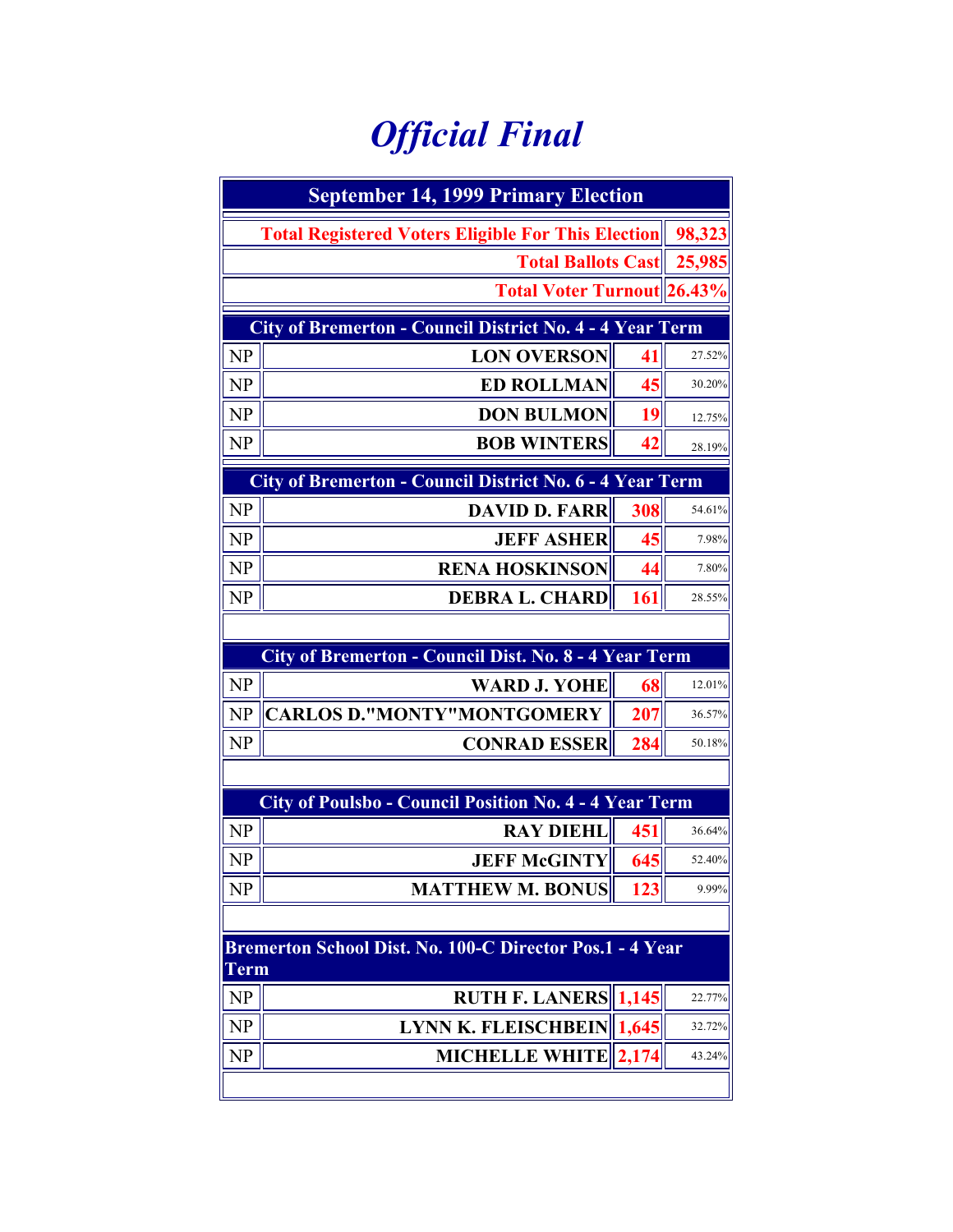## *Official Final*

| <b>September 14, 1999 Primary Election</b>                      |                                                               |       |        |  |  |  |  |
|-----------------------------------------------------------------|---------------------------------------------------------------|-------|--------|--|--|--|--|
|                                                                 | <b>Total Registered Voters Eligible For This Election</b>     |       |        |  |  |  |  |
|                                                                 | <b>Total Ballots Cast</b>                                     |       |        |  |  |  |  |
|                                                                 | <b>Total Voter Turnout 26.43%</b>                             |       |        |  |  |  |  |
| <b>City of Bremerton - Council District No. 4 - 4 Year Term</b> |                                                               |       |        |  |  |  |  |
| <b>NP</b>                                                       | <b>LON OVERSON</b>                                            | 41    | 27.52% |  |  |  |  |
| <b>NP</b>                                                       | <b>ED ROLLMAN</b>                                             | 45    | 30.20% |  |  |  |  |
| <b>NP</b>                                                       | <b>DON BULMON</b>                                             | 19    | 12.75% |  |  |  |  |
| NP                                                              | <b>BOB WINTERS</b>                                            | 42    | 28.19% |  |  |  |  |
| City of Bremerton - Council District No. 6 - 4 Year Term        |                                                               |       |        |  |  |  |  |
| NP                                                              | <b>DAVID D. FARR</b>                                          | 308   | 54.61% |  |  |  |  |
| <b>NP</b>                                                       | <b>JEFF ASHER</b>                                             | 45    | 7.98%  |  |  |  |  |
| <b>NP</b>                                                       | <b>RENA HOSKINSON</b>                                         | 44    | 7.80%  |  |  |  |  |
| NP                                                              | <b>DEBRA L. CHARD</b>                                         | 161   | 28.55% |  |  |  |  |
|                                                                 |                                                               |       |        |  |  |  |  |
|                                                                 | City of Bremerton - Council Dist. No. 8 - 4 Year Term         |       |        |  |  |  |  |
| <b>NP</b>                                                       | <b>WARD J. YOHE</b>                                           | 68    | 12.01% |  |  |  |  |
| NP                                                              | <b>CARLOS D."MONTY"MONTGOMERY</b>                             | 207   | 36.57% |  |  |  |  |
| <b>NP</b>                                                       | <b>CONRAD ESSER</b>                                           | 284   | 50.18% |  |  |  |  |
|                                                                 |                                                               |       |        |  |  |  |  |
|                                                                 | <b>City of Poulsbo - Council Position No. 4 - 4 Year Term</b> |       |        |  |  |  |  |
| NP                                                              | <b>RAY DIEHL</b>                                              | 451   | 36.64% |  |  |  |  |
| NP                                                              | <b>JEFF McGINTY</b>                                           | 645   | 52.40% |  |  |  |  |
| NP                                                              | <b>MATTHEW M. BONUS</b>                                       | 123   | 9.99%  |  |  |  |  |
|                                                                 |                                                               |       |        |  |  |  |  |
| <b>Term</b>                                                     | Bremerton School Dist. No. 100-C Director Pos.1 - 4 Year      |       |        |  |  |  |  |
| <b>NP</b>                                                       | <b>RUTH F. LANERS</b>   1,145                                 |       | 22.77% |  |  |  |  |
| NP                                                              | <b>LYNN K. FLEISCHBEIN</b>                                    | 1,645 | 32.72% |  |  |  |  |
| NP                                                              | <b>MICHELLE WHITE</b>                                         | 2,174 | 43.24% |  |  |  |  |
|                                                                 |                                                               |       |        |  |  |  |  |
|                                                                 |                                                               |       |        |  |  |  |  |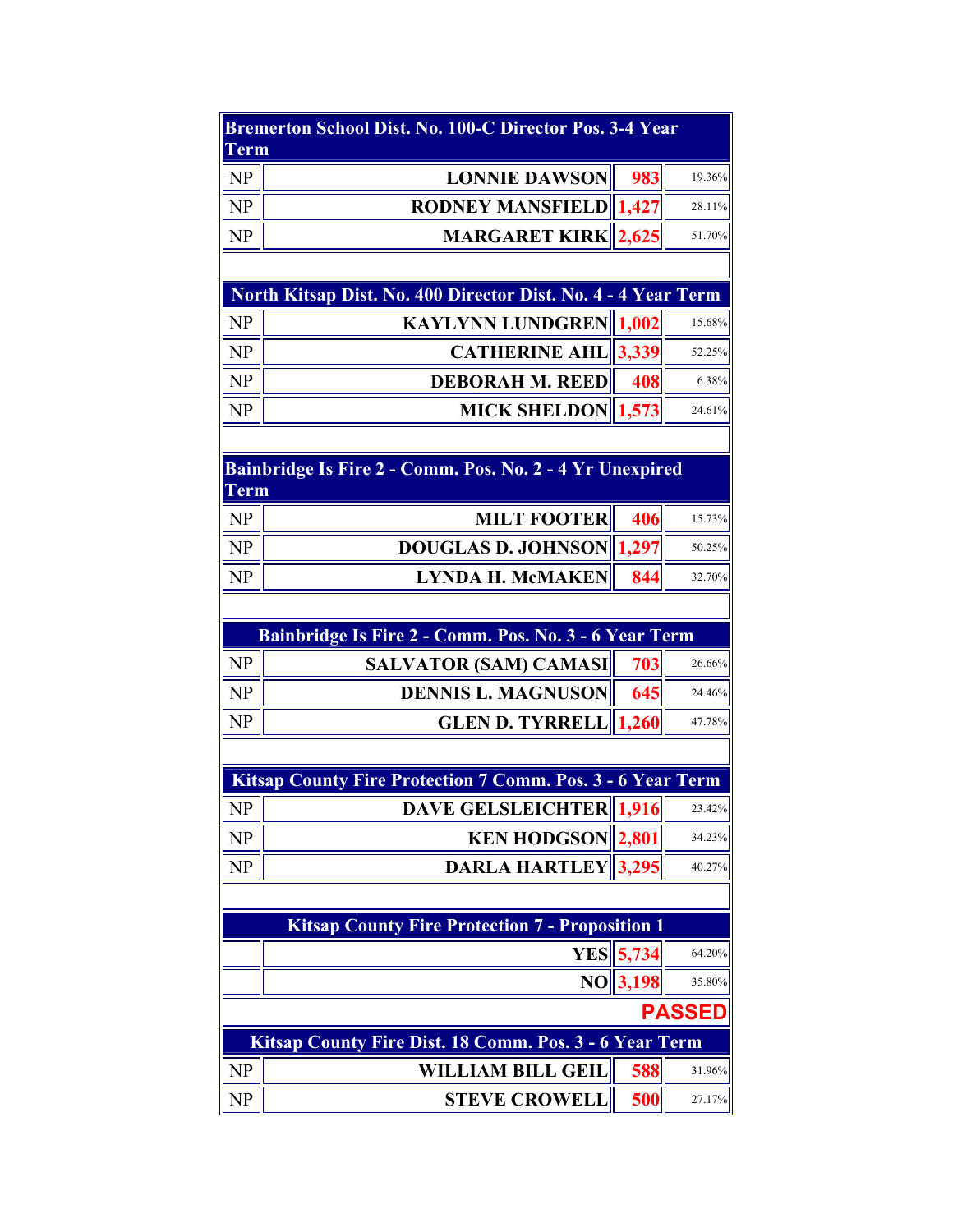| <b>Bremerton School Dist. No. 100-C Director Pos. 3-4 Year</b><br>Term |                                                                                    |             |               |  |  |  |
|------------------------------------------------------------------------|------------------------------------------------------------------------------------|-------------|---------------|--|--|--|
| NP                                                                     | <b>LONNIE DAWSON</b>                                                               | 983         | 19.36%        |  |  |  |
| NP                                                                     | <b>RODNEY MANSFIELD 1,427</b>                                                      |             | 28.11%        |  |  |  |
| NP                                                                     | <b>MARGARET KIRK 2,625</b>                                                         |             | 51.70%        |  |  |  |
|                                                                        |                                                                                    |             |               |  |  |  |
|                                                                        | North Kitsap Dist. No. 400 Director Dist. No. 4 - 4 Year Term                      |             |               |  |  |  |
| NP                                                                     | <b>KAYLYNN LUNDGREN 1,002</b>                                                      |             | 15.68%        |  |  |  |
| NP                                                                     | <b>CATHERINE AHL 3,339</b>                                                         |             | 52.25%        |  |  |  |
| NP                                                                     | <b>DEBORAH M. REED</b>                                                             | 408         | 6.38%         |  |  |  |
| NP                                                                     | MICK SHELDON 1,573                                                                 |             | 24.61%        |  |  |  |
|                                                                        |                                                                                    |             |               |  |  |  |
| <b>Term</b>                                                            | Bainbridge Is Fire 2 - Comm. Pos. No. 2 - 4 Yr Unexpired                           |             |               |  |  |  |
| NP                                                                     | <b>MILT FOOTER</b>                                                                 | 406         | 15.73%        |  |  |  |
| NP                                                                     | <b>DOUGLAS D. JOHNSON</b>                                                          | 1,297       | 50.25%        |  |  |  |
| NP                                                                     | <b>LYNDA H. McMAKEN</b>                                                            | 844         | 32.70%        |  |  |  |
|                                                                        |                                                                                    |             |               |  |  |  |
|                                                                        | Bainbridge Is Fire 2 - Comm. Pos. No. 3 - 6 Year Term                              |             |               |  |  |  |
| <b>NP</b>                                                              | <b>SALVATOR (SAM) CAMASI</b>                                                       | 703         | 26.66%        |  |  |  |
| NP                                                                     | <b>DENNIS L. MAGNUSON</b>                                                          | 645         | 24.46%        |  |  |  |
| NP                                                                     | <b>GLEN D. TYRRELL 1,260</b>                                                       |             | 47.78%        |  |  |  |
|                                                                        |                                                                                    |             |               |  |  |  |
|                                                                        | <b>Kitsap County Fire Protection 7 Comm. Pos. 3 - 6 Year Term</b>                  |             |               |  |  |  |
| NP                                                                     | <b>DAVE GELSLEICHTER 1,916</b>                                                     |             | 23.42%        |  |  |  |
| NP                                                                     | <b>KEN HODGSON</b> 2,801                                                           |             | 34.23%        |  |  |  |
| NP                                                                     | <b>DARLA HARTLEY</b> 3,295                                                         |             | 40.27%        |  |  |  |
|                                                                        |                                                                                    |             |               |  |  |  |
|                                                                        | <b>Kitsap County Fire Protection 7 - Proposition 1</b>                             |             |               |  |  |  |
|                                                                        |                                                                                    | $YES$ 5,734 | 64.20%        |  |  |  |
|                                                                        |                                                                                    | NO  3,198   | 35.80%        |  |  |  |
|                                                                        |                                                                                    |             | <b>PASSED</b> |  |  |  |
| NP                                                                     | Kitsap County Fire Dist. 18 Comm. Pos. 3 - 6 Year Term<br><b>WILLIAM BILL GEIL</b> | 588         | 31.96%        |  |  |  |
| NP                                                                     | <b>STEVE CROWELL</b>                                                               | 500         | 27.17%        |  |  |  |
|                                                                        |                                                                                    |             |               |  |  |  |